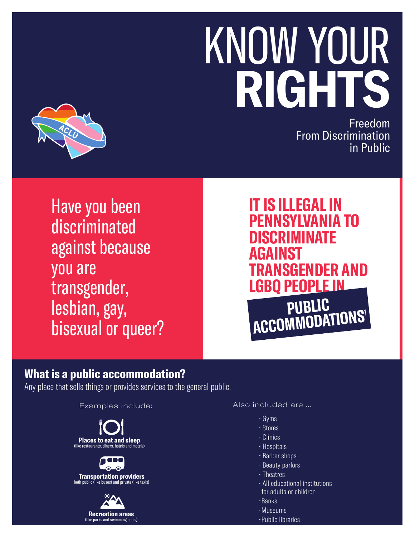# KNOW YOUR **RIGHTS**



Freedom From Discrimination in Public

Have you been discriminated against because you are transgender, lesbian, gay, bisexual or queer?

## **IT IS ILLEGAL IN PENNSYLVANIA TO DISCRIMINATE AGAINST TRANSGENDER AND LGBQ PEOPLE IN PUBLIC ACCOMMODATIONS**<sup>1</sup>

### **What is a public accommodation?**

Any place that sells things or provides services to the general public.

Examples include:

**Places to eat and sleep**<br>(like restaurants, diners, hotels and motels)

**Transportation providers**  both public (like buses) and private (like taxis)



#### Also included are ...

- Gyms
- Stores
- Clinics
- Hospitals
- Barber shops
- Beauty parlors
- Theatres
- All educational institutions
- for adults or children
- •Banks
- •Museums
- •Public libraries